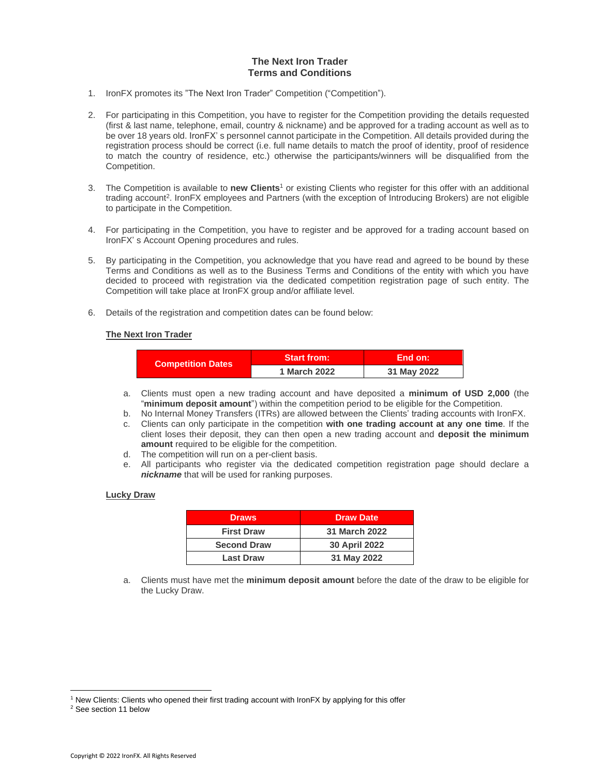# **The Next Iron Trader Terms and Conditions**

- 1. IronFX promotes its "The Next Iron Trader" Competition ("Competition").
- 2. For participating in this Competition, you have to register for the Competition providing the details requested (first & last name, telephone, email, country & nickname) and be approved for a trading account as well as to be over 18 years old. IronFX' s personnel cannot participate in the Competition. All details provided during the registration process should be correct (i.e. full name details to match the proof of identity, proof of residence to match the country of residence, etc.) otherwise the participants/winners will be disqualified from the Competition.
- 3. The Competition is available to **new Clients**<sup>1</sup> or existing Clients who register for this offer with an additional trading account<sup>2</sup>. IronFX employees and Partners (with the exception of Introducing Brokers) are not eligible to participate in the Competition.
- 4. For participating in the Competition, you have to register and be approved for a trading account based on IronFX' s Account Opening procedures and rules.
- 5. By participating in the Competition, you acknowledge that you have read and agreed to be bound by these Terms and Conditions as well as to the Business Terms and Conditions of the entity with which you have decided to proceed with registration via the dedicated competition registration page of such entity. The Competition will take place at IronFX group and/or affiliate level.
- 6. Details of the registration and competition dates can be found below:

## **The Next Iron Trader**

| <b>Competition Dates</b> | <b>Start from:</b> | End on:     |
|--------------------------|--------------------|-------------|
|                          | 1 March 2022       | 31 May 2022 |

- a. Clients must open a new trading account and have deposited a **minimum of USD 2,000** (the "**minimum deposit amount**") within the competition period to be eligible for the Competition.
- b. No Internal Money Transfers (ITRs) are allowed between the Clients' trading accounts with IronFX.
- c. Clients can only participate in the competition **with one trading account at any one time**. If the client loses their deposit, they can then open a new trading account and **deposit the minimum amount** required to be eligible for the competition.
- d. The competition will run on a per-client basis.
- e. All participants who register via the dedicated competition registration page should declare a *nickname* that will be used for ranking purposes.

## **Lucky Draw**

| <b>Draws</b>       | <b>Draw Date</b> |
|--------------------|------------------|
| <b>First Draw</b>  | 31 March 2022    |
| <b>Second Draw</b> | 30 April 2022    |
| <b>Last Draw</b>   | 31 May 2022      |

a. Clients must have met the **minimum deposit amount** before the date of the draw to be eligible for the Lucky Draw.

<sup>&</sup>lt;sup>1</sup> New Clients: Clients who opened their first trading account with IronFX by applying for this offer

<sup>2</sup> See section 11 below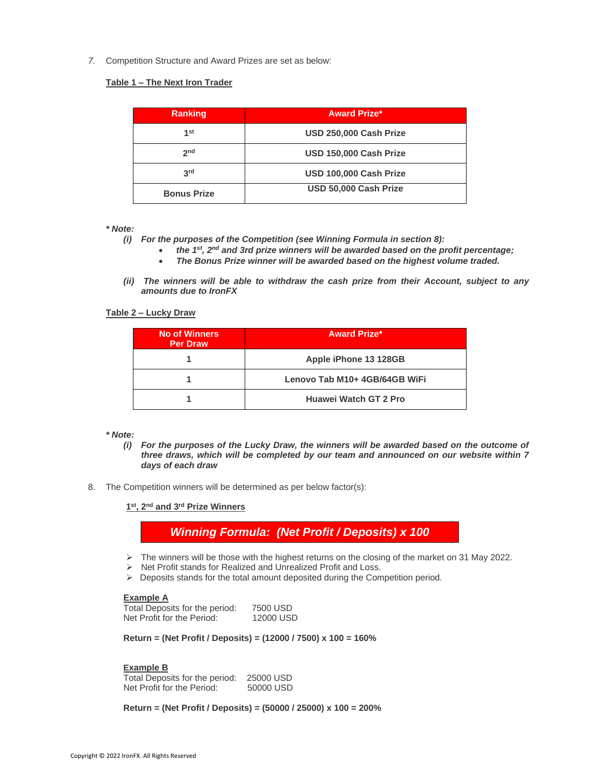*7.* Competition Structure and Award Prizes are set as below:

## **Table 1 – The Next Iron Trader**

| Ranking            | <b>Award Prize*</b>    |
|--------------------|------------------------|
| 1st                | USD 250,000 Cash Prize |
| 2 <sub>nd</sub>    | USD 150,000 Cash Prize |
| 3 <sup>rd</sup>    | USD 100,000 Cash Prize |
| <b>Bonus Prize</b> | USD 50,000 Cash Prize  |

*\* Note:* 

- *(i) For the purposes of the Competition (see Winning Formula in section 8):*
	- *the 1 st, 2nd and 3rd prize winners will be awarded based on the profit percentage;*
	- *The Bonus Prize winner will be awarded based on the highest volume traded.*
- *(ii) The winners will be able to withdraw the cash prize from their Account, subject to any amounts due to IronFX*

**Table 2 – Lucky Draw**

| <b>No of Winners</b><br><b>Per Draw</b> | <b>Award Prize*</b>           |
|-----------------------------------------|-------------------------------|
|                                         | Apple iPhone 13 128GB         |
|                                         | Lenovo Tab M10+ 4GB/64GB WiFi |
|                                         | <b>Huawei Watch GT 2 Pro</b>  |

# *\* Note:*

- *(i) For the purposes of the Lucky Draw, the winners will be awarded based on the outcome of three draws, which will be completed by our team and announced on our website within 7 days of each draw*
- 8. The Competition winners will be determined as per below factor(s):

**1 st, 2nd and 3rd Prize Winners**

*Winning Formula: (Net Profit / Deposits) x 100*

- $\triangleright$  The winners will be those with the highest returns on the closing of the market on 31 May 2022.
- ➢ Net Profit stands for Realized and Unrealized Profit and Loss.
- ➢ Deposits stands for the total amount deposited during the Competition period.

# **Example A**

Total Deposits for the period: 7500 USD Net Profit for the Period: 12000 USD

**Return = (Net Profit / Deposits) = (12000 / 7500) x 100 = 160%**

# **Example B**

Total Deposits for the period: 25000 USD Net Profit for the Period: 50000 USD

**Return = (Net Profit / Deposits) = (50000 / 25000) x 100 = 200%**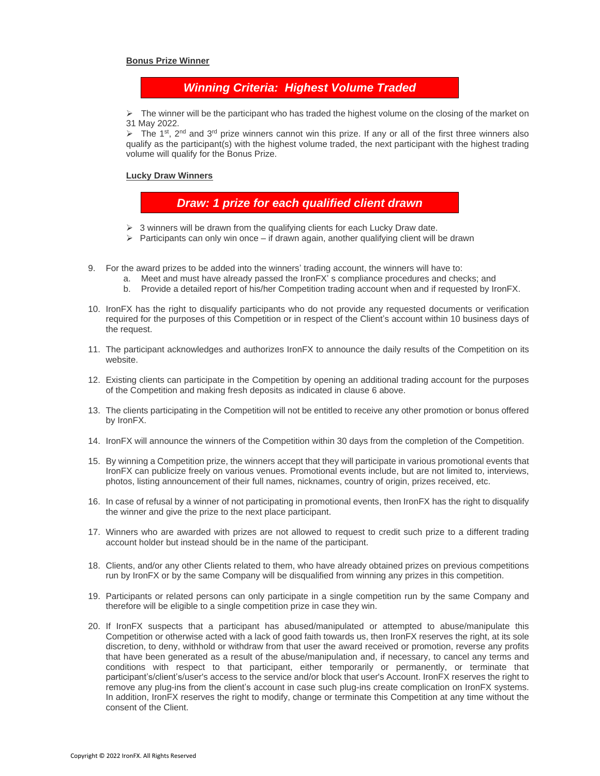#### **Bonus Prize Winner**

# *Winning Criteria: Highest Volume Traded*

 $\triangleright$  The winner will be the participant who has traded the highest volume on the closing of the market on 31 May 2022.

 $\triangleright$  The 1<sup>st</sup>, 2<sup>nd</sup> and 3<sup>rd</sup> prize winners cannot win this prize. If any or all of the first three winners also qualify as the participant(s) with the highest volume traded, the next participant with the highest trading volume will qualify for the Bonus Prize.

#### **Lucky Draw Winners**

*Draw: 1 prize for each qualified client drawn*

- $\geq 3$  winners will be drawn from the qualifying clients for each Lucky Draw date.
- $\triangleright$  Participants can only win once if drawn again, another qualifying client will be drawn
- 9. For the award prizes to be added into the winners' trading account, the winners will have to:
	- a. Meet and must have already passed the IronFX' s compliance procedures and checks; and
	- b. Provide a detailed report of his/her Competition trading account when and if requested by IronFX.
- 10. IronFX has the right to disqualify participants who do not provide any requested documents or verification required for the purposes of this Competition or in respect of the Client's account within 10 business days of the request.
- 11. The participant acknowledges and authorizes IronFX to announce the daily results of the Competition on its website.
- 12. Existing clients can participate in the Competition by opening an additional trading account for the purposes of the Competition and making fresh deposits as indicated in clause 6 above.
- 13. The clients participating in the Competition will not be entitled to receive any other promotion or bonus offered by IronFX.
- 14. IronFX will announce the winners of the Competition within 30 days from the completion of the Competition.
- 15. By winning a Competition prize, the winners accept that they will participate in various promotional events that IronFX can publicize freely on various venues. Promotional events include, but are not limited to, interviews, photos, listing announcement of their full names, nicknames, country of origin, prizes received, etc.
- 16. In case of refusal by a winner of not participating in promotional events, then IronFX has the right to disqualify the winner and give the prize to the next place participant.
- 17. Winners who are awarded with prizes are not allowed to request to credit such prize to a different trading account holder but instead should be in the name of the participant.
- 18. Clients, and/or any other Clients related to them, who have already obtained prizes on previous competitions run by IronFX or by the same Company will be disqualified from winning any prizes in this competition.
- 19. Participants or related persons can only participate in a single competition run by the same Company and therefore will be eligible to a single competition prize in case they win.
- 20. If IronFX suspects that a participant has abused/manipulated or attempted to abuse/manipulate this Competition or otherwise acted with a lack of good faith towards us, then IronFX reserves the right, at its sole discretion, to deny, withhold or withdraw from that user the award received or promotion, reverse any profits that have been generated as a result of the abuse/manipulation and, if necessary, to cancel any terms and conditions with respect to that participant, either temporarily or permanently, or terminate that participant's/client's/user's access to the service and/or block that user's Account. IronFX reserves the right to remove any plug-ins from the client's account in case such plug-ins create complication on IronFX systems. In addition, IronFX reserves the right to modify, change or terminate this Competition at any time without the consent of the Client.